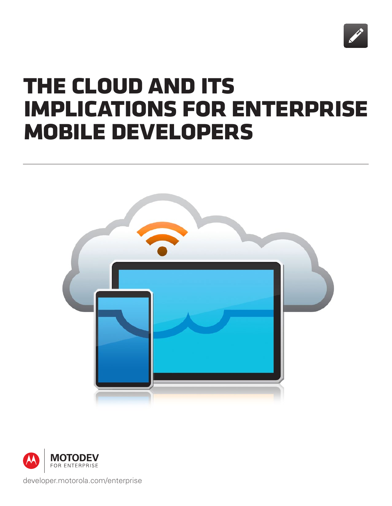

# **the cloud and its implications for enterprise mobile developers**





[developer.motorola.com/enterprise](http://www.developer.motorola.com/enterprise)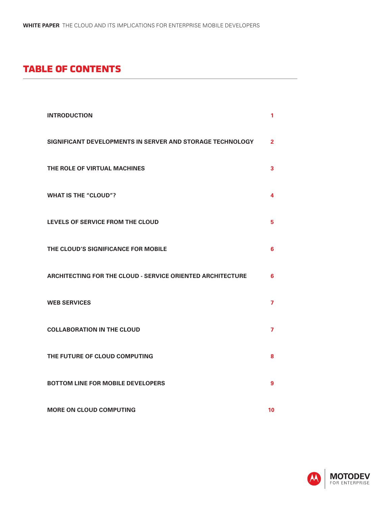## **table of contents**

| <b>INTRODUCTION</b>                                               | 1              |
|-------------------------------------------------------------------|----------------|
| SIGNIFICANT DEVELOPMENTS IN SERVER AND STORAGE TECHNOLOGY         | $\overline{2}$ |
| THE ROLE OF VIRTUAL MACHINES                                      | 3              |
| <b>WHAT IS THE "CLOUD"?</b>                                       | 4              |
| LEVELS OF SERVICE FROM THE CLOUD                                  | 5              |
| THE CLOUD'S SIGNIFICANCE FOR MOBILE                               | 6              |
| <b>ARCHITECTING FOR THE CLOUD - SERVICE ORIENTED ARCHITECTURE</b> | 6              |
| <b>WEB SERVICES</b>                                               | 7              |
| <b>COLLABORATION IN THE CLOUD</b>                                 | 7              |
| THE FUTURE OF CLOUD COMPUTING                                     | 8              |
| <b>BOTTOM LINE FOR MOBILE DEVELOPERS</b>                          | 9              |
| <b>MORE ON CLOUD COMPUTING</b>                                    | 10             |

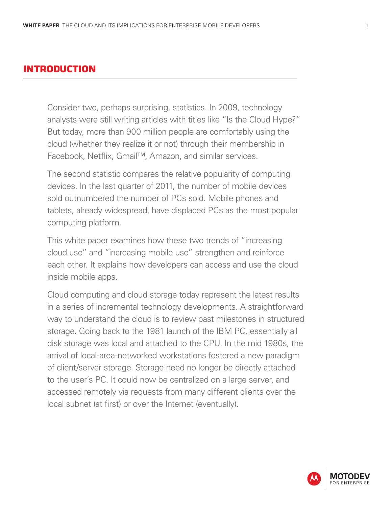### **introduction**

Consider two, perhaps surprising, statistics. In 2009, technology analysts were still writing articles with titles like "Is the Cloud Hype?" But today, more than 900 million people are comfortably using the cloud (whether they realize it or not) through their membership in Facebook, Netflix, Gmail™, Amazon, and similar services.

The second statistic compares the relative popularity of computing devices. In the last quarter of 2011, the number of mobile devices sold outnumbered the number of PCs sold. Mobile phones and tablets, already widespread, have displaced PCs as the most popular computing platform.

This white paper examines how these two trends of "increasing cloud use" and "increasing mobile use" strengthen and reinforce each other. It explains how developers can access and use the cloud inside mobile apps.

Cloud computing and cloud storage today represent the latest results in a series of incremental technology developments. A straightforward way to understand the cloud is to review past milestones in structured storage. Going back to the 1981 launch of the IBM PC, essentially all disk storage was local and attached to the CPU. In the mid 1980s, the arrival of local-area-networked workstations fostered a new paradigm of client/server storage. Storage need no longer be directly attached to the user's PC. It could now be centralized on a large server, and accessed remotely via requests from many different clients over the local subnet (at first) or over the Internet (eventually).

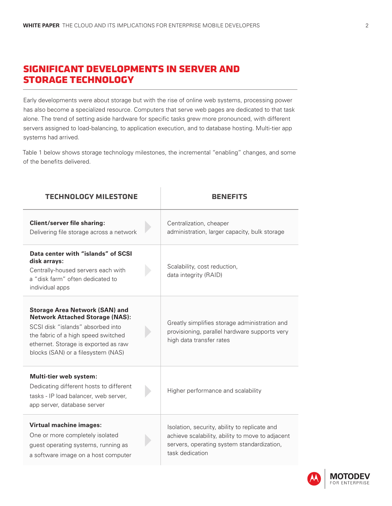## **significant developments in server and storage technology**

Early developments were about storage but with the rise of online web systems, processing power has also become a specialized resource. Computers that serve web pages are dedicated to that task alone. The trend of setting aside hardware for specific tasks grew more pronounced, with different servers assigned to load-balancing, to application execution, and to database hosting. Multi-tier app systems had arrived.

Table 1 below shows storage technology milestones, the incremental "enabling" changes, and some of the benefits delivered.

| <b>TECHNOLOGY MILESTONE</b>                                                                                                                                                                                                               |  | <b>RENEFITS</b>                                                                                                                                                    |  |
|-------------------------------------------------------------------------------------------------------------------------------------------------------------------------------------------------------------------------------------------|--|--------------------------------------------------------------------------------------------------------------------------------------------------------------------|--|
| <b>Client/server file sharing:</b><br>Delivering file storage across a network                                                                                                                                                            |  | Centralization, cheaper<br>administration, larger capacity, bulk storage                                                                                           |  |
| Data center with "islands" of SCSI<br>disk arrays:<br>Centrally-housed servers each with<br>a "disk farm" often dedicated to<br>individual apps                                                                                           |  | Scalability, cost reduction,<br>data integrity (RAID)                                                                                                              |  |
| <b>Storage Area Network (SAN) and</b><br><b>Network Attached Storage (NAS):</b><br>SCSI disk "islands" absorbed into<br>the fabric of a high speed switched<br>ethernet. Storage is exported as raw<br>blocks (SAN) or a filesystem (NAS) |  | Greatly simplifies storage administration and<br>provisioning, parallel hardware supports very<br>high data transfer rates                                         |  |
| Multi-tier web system:<br>Dedicating different hosts to different<br>tasks - IP load balancer, web server,<br>app server, database server                                                                                                 |  | Higher performance and scalability                                                                                                                                 |  |
| <b>Virtual machine images:</b><br>One or more completely isolated<br>guest operating systems, running as<br>a software image on a host computer                                                                                           |  | Isolation, security, ability to replicate and<br>achieve scalability, ability to move to adjacent<br>servers, operating system standardization,<br>task dedication |  |

**MOTODEV** OR ENTERPRISE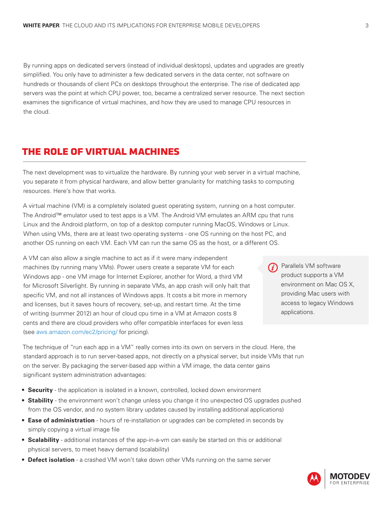By running apps on dedicated servers (instead of individual desktops), updates and upgrades are greatly simplified. You only have to administer a few dedicated servers in the data center, not software on hundreds or thousands of client PCs on desktops throughout the enterprise. The rise of dedicated app servers was the point at which CPU power, too, became a centralized server resource. The next section examines the significance of virtual machines, and how they are used to manage CPU resources in the cloud.

## **the role of virtual machines**

The next development was to virtualize the hardware. By running your web server in a virtual machine, you separate it from physical hardware, and allow better granularity for matching tasks to computing resources. Here's how that works.

A virtual machine (VM) is a completely isolated guest operating system, running on a host computer. The Android™ emulator used to test apps is a VM. The Android VM emulates an ARM cpu that runs Linux and the Android platform, on top of a desktop computer running MacOS, Windows or Linux. When using VMs, there are at least two operating systems - one OS running on the host PC, and another OS running on each VM. Each VM can run the same OS as the host, or a different OS.

A VM can also allow a single machine to act as if it were many independent machines (by running many VMs). Power users create a separate VM for each Windows app - one VM image for Internet Explorer, another for Word, a third VM for Microsoft Silverlight. By running in separate VMs, an app crash will only halt that specific VM, and not all instances of Windows apps. It costs a bit more in memory and licenses, but it saves hours of recovery, set-up, and restart time. At the time of writing (summer 2012) an hour of cloud cpu time in a VM at Amazon costs 8 cents and there are cloud providers who offer compatible interfaces for even less (see [aws.amazon.com/ec2/pricing/](http://aws.amazon.com/ec2/pricing/) for pricing).

Parallels VM software product supports a VM environment on Mac OS X, providing Mac users with access to legacy Windows applications.

The technique of "run each app in a VM" really comes into its own on servers in the cloud. Here, the standard approach is to run server-based apps, not directly on a physical server, but inside VMs that run on the server. By packaging the server-based app within a VM image, the data center gains significant system administration advantages:

- **Security** the application is isolated in a known, controlled, locked down environment
- **Stability** the environment won't change unless you change it (no unexpected OS upgrades pushed from the OS vendor, and no system library updates caused by installing additional applications)
- **Ease of administration** hours of re-installation or upgrades can be completed in seconds by simply copying a virtual image file
- **Scalability**  additional instances of the app-in-a-vm can easily be started on this or additional physical servers, to meet heavy demand (scalability)
- **Defect isolation** a crashed VM won't take down other VMs running on the same server

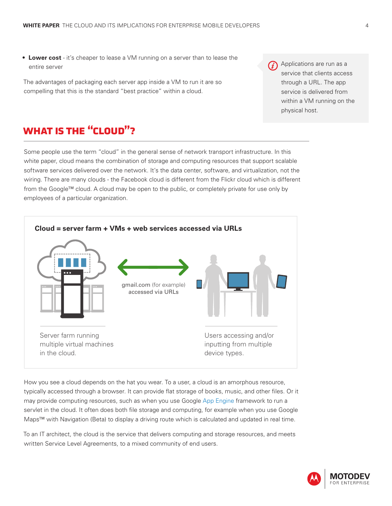• **Lower cost** - it's cheaper to lease a VM running on a server than to lease the entire server

The advantages of packaging each server app inside a VM to run it are so compelling that this is the standard "best practice" within a cloud.

Applications are run as a  $(i)$ service that clients access through a URL. The app service is delivered from within a VM running on the physical host.

## **what is the "cloud"?**

Some people use the term "cloud" in the general sense of network transport infrastructure. In this white paper, cloud means the combination of storage and computing resources that support scalable software services delivered over the network. It's the data center, software, and virtualization, not the wiring. There are many clouds - the Facebook cloud is different from the Flickr cloud which is different from the Google™ cloud. A cloud may be open to the public, or completely private for use only by employees of a particular organization.



How you see a cloud depends on the hat you wear. To a user, a cloud is an amorphous resource, typically accessed through a browser. It can provide flat storage of books, music, and other files. Or it may provide computing resources, such as when you use Google [App Engine f](https://developers.google.com/appengine/)ramework to run a servlet in the cloud. It often does both file storage and computing, for example when you use Google Maps™ with Navigation (Beta) to display a driving route which is calculated and updated in real time.

To an IT architect, the cloud is the service that delivers computing and storage resources, and meets written Service Level Agreements, to a mixed community of end users.

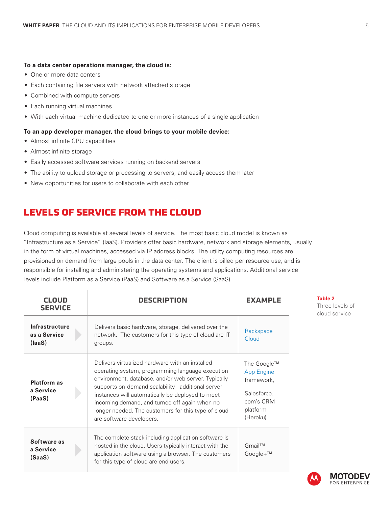#### **To a data center operations manager, the cloud is:**

- One or more data centers
- Each containing file servers with network attached storage
- Combined with compute servers
- Each running virtual machines
- With each virtual machine dedicated to one or more instances of a single application

#### **To an app developer manager, the cloud brings to your mobile device:**

- Almost infinite CPU capabilities
- Almost infinite storage
- Easily accessed software services running on backend servers
- The ability to upload storage or processing to servers, and easily access them later
- New opportunities for users to collaborate with each other

## **levels of service from the cloud**

Cloud computing is available at several levels of service. The most basic cloud model is known as "Infrastructure as a Service" (IaaS). Providers offer basic hardware, network and storage elements, usually in the form of virtual machines, accessed via IP address blocks. The utility computing resources are provisioned on demand from large pools in the data center. The client is billed per resource use, and is responsible for installing and administering the operating systems and applications. Additional service levels include Platform as a Service (PaaS) and Software as a Service (SaaS).

| <b>CLOUD</b><br><b>SERVICE</b>            | <b>DESCRIPTION</b>                                                                                                                                                                                                                                                                                                                                                                                       | <b>EXAMPLE</b>                                                                              | <b>Table 2</b><br>Three levels of<br>cloud service |
|-------------------------------------------|----------------------------------------------------------------------------------------------------------------------------------------------------------------------------------------------------------------------------------------------------------------------------------------------------------------------------------------------------------------------------------------------------------|---------------------------------------------------------------------------------------------|----------------------------------------------------|
| Infrastructure<br>as a Service<br>(laaS)  | Delivers basic hardware, storage, delivered over the<br>network. The customers for this type of cloud are IT<br>groups.                                                                                                                                                                                                                                                                                  | Rackspace<br>Cloud                                                                          |                                                    |
| <b>Platform as</b><br>a Service<br>(PaaS) | Delivers virtualized hardware with an installed<br>operating system, programming language execution<br>environment, database, and/or web server. Typically<br>supports on-demand scalability - additional server<br>instances will automatically be deployed to meet<br>incoming demand, and turned off again when no<br>longer needed. The customers for this type of cloud<br>are software developers. | The Google™<br>App Engine<br>framework,<br>Salesforce.<br>com's CRM<br>platform<br>(Heroku) |                                                    |
| Software as<br>a Service<br>(SaaS)        | The complete stack including application software is<br>hosted in the cloud. Users typically interact with the<br>application software using a browser. The customers<br>for this type of cloud are end users.                                                                                                                                                                                           | Gmail™<br>Google+™                                                                          |                                                    |

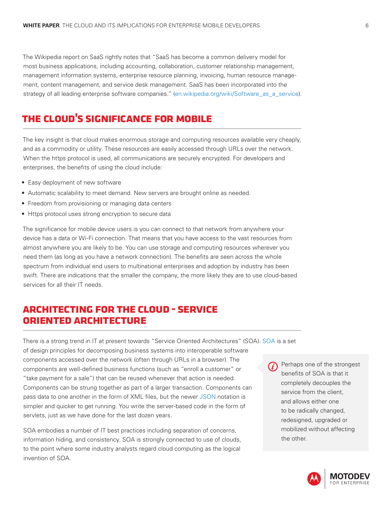The Wikipedia report on SaaS rightly notes that "SaaS has become a common delivery model for most business applications, including accounting, collaboration, customer relationship management, management information systems, enterprise resource planning, invoicing, human resource management, content management, and service desk management. SaaS has been incorporated into the strategy of all leading enterprise software companies." [\(en.wikipedia.org/wiki/Software\\_as\\_a\\_service](http://en.wikipedia.org/wiki/Software_as_a_service)).

# **the cloud's significance for mobile**

The key insight is that cloud makes enormous storage and computing resources available very cheaply, and as a commodity or utility. These resources are easily accessed through URLs over the network. When the https protocol is used, all communications are securely encrypted. For developers and enterprises, the benefits of using the cloud include:

- Easy deployment of new software
- Automatic scalability to meet demand. New servers are brought online as needed.
- Freedom from provisioning or managing data centers
- Https protocol uses strong encryption to secure data

The significance for mobile device users is you can connect to that network from anywhere your device has a data or Wi-Fi connection. That means that you have access to the vast resources from almost anywhere you are likely to be. You can use storage and computing resources wherever you need them (as long as you have a network connection). The benefits are seen across the whole spectrum from individual end users to multinational enterprises and adoption by industry has been swift. There are indications that the smaller the company, the more likely they are to use cloud-based services for all their IT needs.

## **architecting for the cloud - service oriented architecture**

There is a strong trend in IT at present towards "Service Oriented Architectures" (SOA). [SOA](http://en.wikipedia.org/wiki/Service-oriented_architecture) is a set of design principles for decomposing business systems into interoperable software components accessed over the network (often through URLs in a browser). The components are well-defined business functions (such as "enroll a customer" or "take payment for a sale") that can be reused whenever that action is needed. Components can be strung together as part of a larger transaction. Components can pass data to one another in the form of XML files, but the newer [JSON](http://en.wikipedia.org/wiki/Json) notation is simpler and quicker to get running. You write the server-based code in the form of servlets, just as we have done for the last dozen years.

SOA embodies a number of IT best practices including separation of concerns, information hiding, and consistency. SOA is strongly connected to use of clouds, to the point where some industry analysts regard cloud computing as the logical invention of SOA.

Perhaps one of the strongest benefits of SOA is that it completely decouples the service from the client, and allows either one to be radically changed, redesigned, upgraded or mobilized without affecting the other.

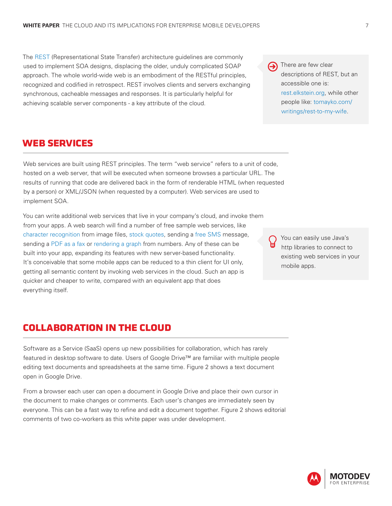The [REST](http://en.wikipedia.org/wiki/REST) (Representational State Transfer) architecture guidelines are commonly used to implement SOA designs, displacing the older, unduly complicated SOAP approach. The whole world-wide web is an embodiment of the RESTful principles, recognized and codified in retrospect. REST involves clients and servers exchanging synchronous, cacheable messages and responses. It is particularly helpful for achieving scalable server components - a key attribute of the cloud.

#### **web services**

Web services are built using REST principles. The term "web service" refers to a unit of code, hosted on a web server, that will be executed when someone browses a particular URL. The results of running that code are delivered back in the form of renderable HTML (when requested by a person) or XML/JSON (when requested by a computer). Web services are used to implement SOA.

You can write additional web services that live in your company's cloud, and invoke them from your apps. A web search will find a number of free sample web services, like [character recognition](http://finereader.abbyyonline.com/en) from image files, [stock quotes](http://www.webservicex.net/stockquote.asmx?op=GetQuote), sending a [free SMS](http://krypton.durgle.com/) message, sending a [PDF as a fax](http://faxzero.com/) or [rendering a graph](https://google-developers.appspot.com/chart/interactive/docs/gallery/linechart) from numbers. Any of these can be built into your app, expanding its features with new server-based functionality. It's conceivable that some mobile apps can be reduced to a thin client for UI only, getting all semantic content by invoking web services in the cloud. Such an app is quicker and cheaper to write, compared with an equivalent app that does everything itself.

## **collaboration in the cloud**

Software as a Service (SaaS) opens up new possibilities for collaboration, which has rarely featured in desktop software to date. Users of Google Drive™ are familiar with multiple people editing text documents and spreadsheets at the same time. Figure 2 shows a text document open in Google Drive.

From a browser each user can open a document in Google Drive and place their own cursor in the document to make changes or comments. Each user's changes are immediately seen by everyone. This can be a fast way to refine and edit a document together. Figure 2 shows editorial comments of two co-workers as this white paper was under development.





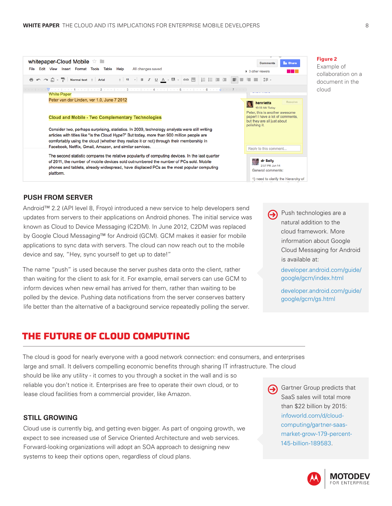

#### **PUSH FROM SERVER**

Android™ 2.2 (API level 8, Froyo) introduced a new service to help developers send updates from servers to their applications on Android phones. The initial service was known as Cloud to Device Messaging (C2DM). In June 2012, C2DM was replaced by Google Cloud Messaging™ for Android (GCM). GCM makes it easier for mobile applications to sync data with servers. The cloud can now reach out to the mobile device and say, "Hey, sync yourself to get up to date!"

The name "push" is used because the server pushes data onto the client, rather than waiting for the client to ask for it. For example, email servers can use GCM to inform devices when new email has arrived for them, rather than waiting to be polled by the device. Pushing data notifications from the server conserves battery life better than the alternative of a background service repeatedly polling the server.

Push technologies are a  $\left( \rightarrow \right)$ natural addition to the cloud framework. More information about Google Cloud Messaging for Android is available at:

> [developer.android.com/guide/](http://developer.android.com/guide/google/gcm/index.html) [google/gcm/index.html](http://developer.android.com/guide/google/gcm/index.html)

[developer.android.com/guide/](http://developer.android.com/guide/google/gcm/gs.html) [google/gcm/gs.html](http://developer.android.com/guide/google/gcm/gs.html)

#### **the future of cloud computing**

The cloud is good for nearly everyone with a good network connection: end consumers, and enterprises large and small. It delivers compelling economic benefits through sharing IT infrastructure. The cloud should be like any utility - it comes to you through a socket in the wall and is so reliable you don't notice it. Enterprises are free to operate their own cloud, or to lease cloud facilities from a commercial provider, like Amazon.

#### **STILL GROWING**

Cloud use is currently big, and getting even bigger. As part of ongoing growth, we expect to see increased use of Service Oriented Architecture and web services. Forward-looking organizations will adopt an SOA approach to designing new systems to keep their options open, regardless of cloud plans.

Gartner Group predicts that SaaS sales will total more than \$22 billion by 2015: [infoworld.com/d/cloud](http://www.infoworld.com/d/cloud-computing/gartner-saas-market-grow-179-percent-145-billion-189583)[computing/gartner-saas](http://www.infoworld.com/d/cloud-computing/gartner-saas-market-grow-179-percent-145-billion-189583)[market-grow-179-percent-](http://www.infoworld.com/d/cloud-computing/gartner-saas-market-grow-179-percent-145-billion-189583)[145-billion-189583.](http://www.infoworld.com/d/cloud-computing/gartner-saas-market-grow-179-percent-145-billion-189583)

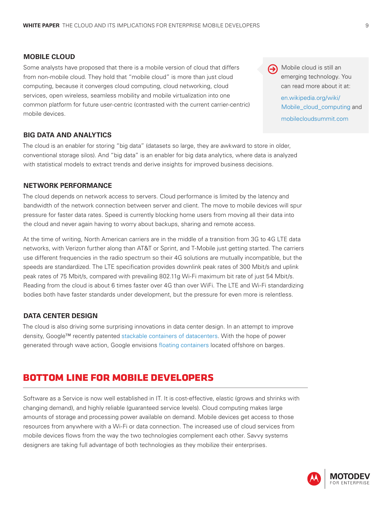#### **MOBILE CLOUD**

Some analysts have proposed that there is a mobile version of cloud that differs from non-mobile cloud. They hold that "mobile cloud" is more than just cloud computing, because it converges cloud computing, cloud networking, cloud services, open wireless, seamless mobility and mobile virtualization into one common platform for future user-centric (contrasted with the current carrier-centric) mobile devices.

#### **BIG DATA AND ANALYTICS**

The cloud is an enabler for storing "big data" (datasets so large, they are awkward to store in older, conventional storage silos). And "big data" is an enabler for big data analytics, where data is analyzed with statistical models to extract trends and derive insights for improved business decisions.

#### **NETWORK PERFORMANCE**

The cloud depends on network access to servers. Cloud performance is limited by the latency and bandwidth of the network connection between server and client. The move to mobile devices will spur pressure for faster data rates. Speed is currently blocking home users from moving all their data into the cloud and never again having to worry about backups, sharing and remote access.

At the time of writing, North American carriers are in the middle of a transition from 3G to 4G LTE data networks, with Verizon further along than AT&T or Sprint, and T-Mobile just getting started. The carriers use different frequencies in the radio spectrum so their 4G solutions are mutually incompatible, but the speeds are standardized. The LTE specification provides downlink peak rates of 300 Mbit/s and uplink peak rates of 75 Mbit/s, compared with prevailing 802.11g Wi-Fi maximum bit rate of just 54 Mbit/s. Reading from the cloud is about 6 times faster over 4G than over WiFi. The LTE and Wi-Fi standardizing bodies both have faster standards under development, but the pressure for even more is relentless.

#### **DATA CENTER DESIGN**

The cloud is also driving some surprising innovations in data center design. In an attempt to improve density, Google™ recently patented [stackable containers of datacenters](http://www.datacenterknowledge.com/archives/2010/06/18/google-patents-tower-of-containers/). With the hope of power generated through wave action, Google envisions [floating containers](http://www.datacenterknowledge.com/archives/2008/09/06/google-planning-offshore-data-barges/) located offshore on barges.

#### **bottom line for mobile developers**

Software as a Service is now well established in IT. It is cost-effective, elastic (grows and shrinks with changing demand), and highly reliable (guaranteed service levels). Cloud computing makes large amounts of storage and processing power available on demand. Mobile devices get access to those resources from anywhere with a Wi-Fi or data connection. The increased use of cloud services from mobile devices flows from the way the two technologies complement each other. Savvy systems designers are taking full advantage of both technologies as they mobilize their enterprises.

Mobile cloud is still an emerging technology. You can read more about it at:

> [en.wikipedia.org/wiki/](http://en.wikipedia.org/wiki/ Mobile_cloud_computing) [Mobile\\_cloud\\_computing](http://en.wikipedia.org/wiki/ Mobile_cloud_computing) and [mobilecloudsummit.com](http://mobilecloudsummit.com)